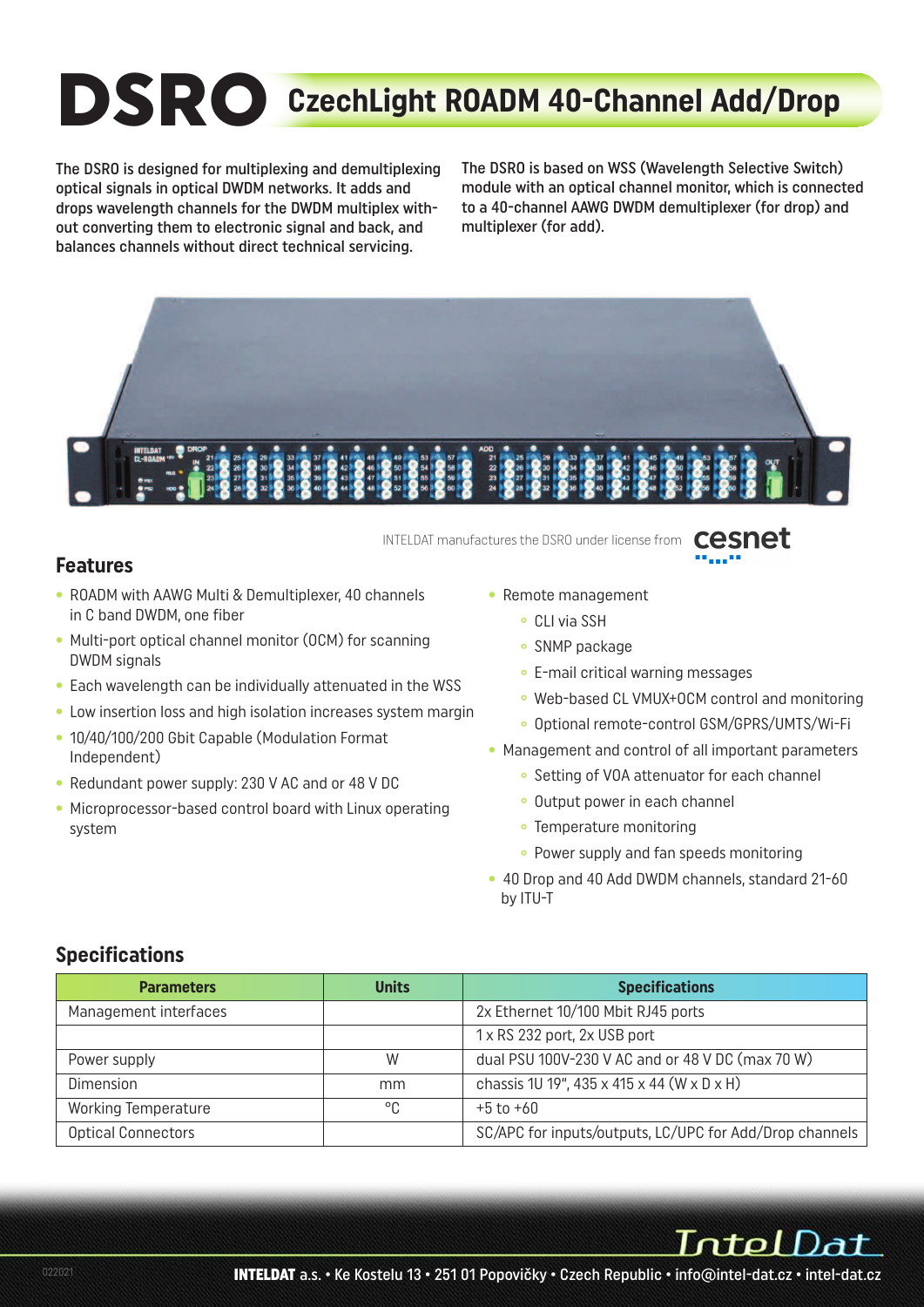# **DSRO CzechLight ROADM 40-Channel Add/Drop**

The DSRO is designed for multiplexing and demultiplexing optical signals in optical DWDM networks. It adds and drops wavelength channels for the DWDM multiplex without converting them to electronic signal and back, and balances channels without direct technical servicing.

The DSRO is based on WSS (Wavelength Selective Switch) module with an optical channel monitor, which is connected to a 40-channel AAWG DWDM demultiplexer (for drop) and multiplexer (for add).



cesnet INTELDAT manufactures the DSRO under license from

#### **Features**

- ROADM with AAWG Multi & Demultiplexer, 40 channels in C band DWDM, one fiber
- Multi-port optical channel monitor (OCM) for scanning DWDM signals
- Each wavelength can be individually attenuated in the WSS
- Low insertion loss and high isolation increases system margin
- 10/40/100/200 Gbit Capable (Modulation Format Independent)
- Redundant power supply: 230 V AC and or 48 V DC
- Microprocessor-based control board with Linux operating system
- Remote management
	- **°** CLI via SSH
	- **°** SNMP package
	- **°** E-mail critical warning messages
	- **°** Web-based CL VMUX+OCM control and monitoring
	- **°** Optional remote-control GSM/GPRS/UMTS/Wi-Fi
- Management and control of all important parameters
	- **°** Setting of VOA attenuator for each channel
	- **°** Output power in each channel
	- **°** Temperature monitoring
	- **°** Power supply and fan speeds monitoring
- 40 Drop and 40 Add DWDM channels, standard 21-60 by ITU-T

#### **Specifications**

| <b>Parameters</b>          | <b>Units</b> | <b>Specifications</b>                                   |
|----------------------------|--------------|---------------------------------------------------------|
| Management interfaces      |              | 2x Ethernet 10/100 Mbit RJ45 ports                      |
|                            |              | 1 x RS 232 port, 2x USB port                            |
| Power supply               | W            | dual PSU 100V-230 V AC and or 48 V DC (max 70 W)        |
| Dimension                  | mm           | chassis 1U 19", 435 x 415 x 44 (W x D x H)              |
| <b>Working Temperature</b> | °C           | $+5$ to $+60$                                           |
| <b>Optical Connectors</b>  |              | SC/APC for inputs/outputs, LC/UPC for Add/Drop channels |